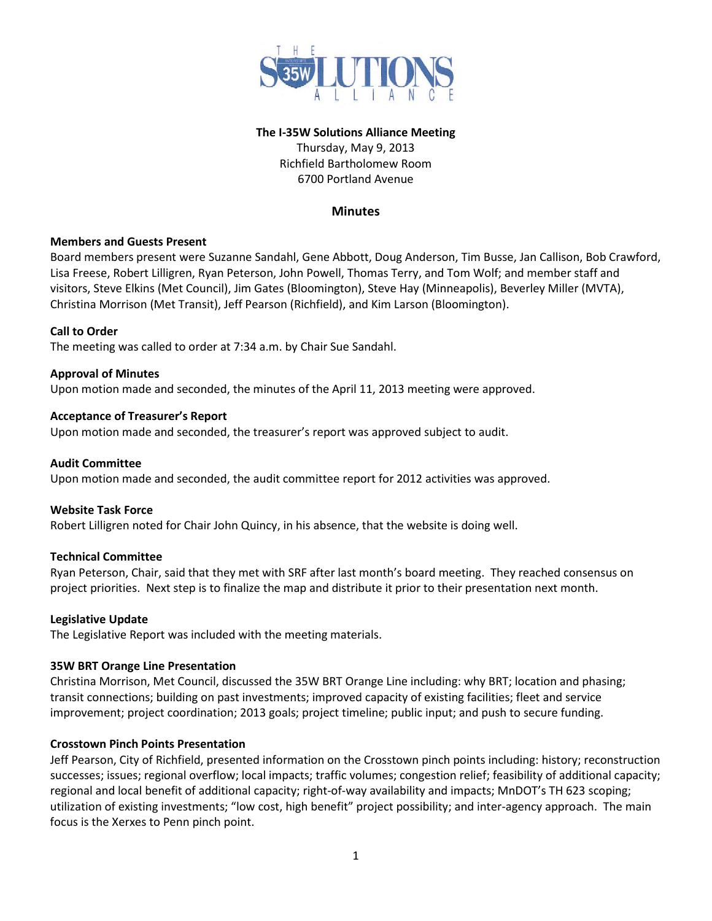

# **The I-35W Solutions Alliance Meeting**

Thursday, May 9, 2013 Richfield Bartholomew Room 6700 Portland Avenue

# **Minutes**

### **Members and Guests Present**

Board members present were Suzanne Sandahl, Gene Abbott, Doug Anderson, Tim Busse, Jan Callison, Bob Crawford, Lisa Freese, Robert Lilligren, Ryan Peterson, John Powell, Thomas Terry, and Tom Wolf; and member staff and visitors, Steve Elkins (Met Council), Jim Gates (Bloomington), Steve Hay (Minneapolis), Beverley Miller (MVTA), Christina Morrison (Met Transit), Jeff Pearson (Richfield), and Kim Larson (Bloomington).

#### **Call to Order**

The meeting was called to order at 7:34 a.m. by Chair Sue Sandahl.

#### **Approval of Minutes**

Upon motion made and seconded, the minutes of the April 11, 2013 meeting were approved.

#### **Acceptance of Treasurer's Report**

Upon motion made and seconded, the treasurer's report was approved subject to audit.

#### **Audit Committee**

Upon motion made and seconded, the audit committee report for 2012 activities was approved.

### **Website Task Force**

Robert Lilligren noted for Chair John Quincy, in his absence, that the website is doing well.

### **Technical Committee**

Ryan Peterson, Chair, said that they met with SRF after last month's board meeting. They reached consensus on project priorities. Next step is to finalize the map and distribute it prior to their presentation next month.

#### **Legislative Update**

The Legislative Report was included with the meeting materials.

#### **35W BRT Orange Line Presentation**

Christina Morrison, Met Council, discussed the 35W BRT Orange Line including: why BRT; location and phasing; transit connections; building on past investments; improved capacity of existing facilities; fleet and service improvement; project coordination; 2013 goals; project timeline; public input; and push to secure funding.

#### **Crosstown Pinch Points Presentation**

Jeff Pearson, City of Richfield, presented information on the Crosstown pinch points including: history; reconstruction successes; issues; regional overflow; local impacts; traffic volumes; congestion relief; feasibility of additional capacity; regional and local benefit of additional capacity; right-of-way availability and impacts; MnDOT's TH 623 scoping; utilization of existing investments; "low cost, high benefit" project possibility; and inter-agency approach. The main focus is the Xerxes to Penn pinch point.